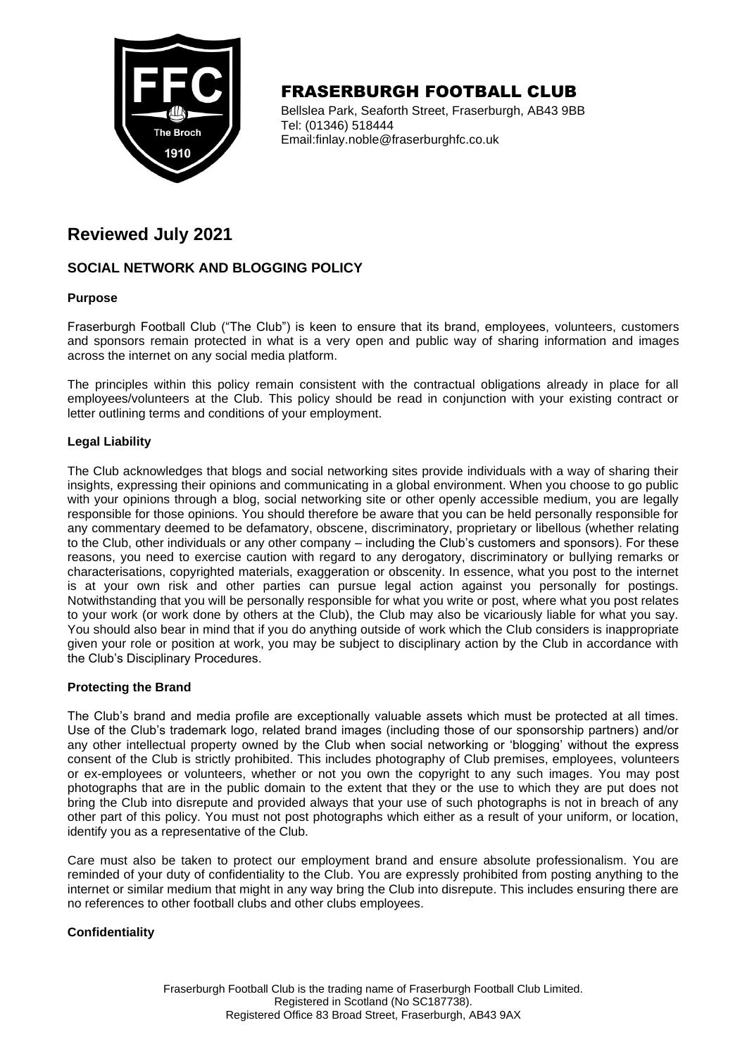

# FRASERBURGH FOOTBALL CLUB

Bellslea Park, Seaforth Street, Fraserburgh, AB43 9BB Tel: (01346) 518444 Email:finlay.noble@fraserburghfc.co.uk

# **Reviewed July 2021**

## **SOCIAL NETWORK AND BLOGGING POLICY**

### **Purpose**

Fraserburgh Football Club ("The Club") is keen to ensure that its brand, employees, volunteers, customers and sponsors remain protected in what is a very open and public way of sharing information and images across the internet on any social media platform.

The principles within this policy remain consistent with the contractual obligations already in place for all employees/volunteers at the Club. This policy should be read in conjunction with your existing contract or letter outlining terms and conditions of your employment.

### **Legal Liability**

The Club acknowledges that blogs and social networking sites provide individuals with a way of sharing their insights, expressing their opinions and communicating in a global environment. When you choose to go public with your opinions through a blog, social networking site or other openly accessible medium, you are legally responsible for those opinions. You should therefore be aware that you can be held personally responsible for any commentary deemed to be defamatory, obscene, discriminatory, proprietary or libellous (whether relating to the Club, other individuals or any other company – including the Club's customers and sponsors). For these reasons, you need to exercise caution with regard to any derogatory, discriminatory or bullying remarks or characterisations, copyrighted materials, exaggeration or obscenity. In essence, what you post to the internet is at your own risk and other parties can pursue legal action against you personally for postings. Notwithstanding that you will be personally responsible for what you write or post, where what you post relates to your work (or work done by others at the Club), the Club may also be vicariously liable for what you say. You should also bear in mind that if you do anything outside of work which the Club considers is inappropriate given your role or position at work, you may be subject to disciplinary action by the Club in accordance with the Club's Disciplinary Procedures.

#### **Protecting the Brand**

The Club's brand and media profile are exceptionally valuable assets which must be protected at all times. Use of the Club's trademark logo, related brand images (including those of our sponsorship partners) and/or any other intellectual property owned by the Club when social networking or 'blogging' without the express consent of the Club is strictly prohibited. This includes photography of Club premises, employees, volunteers or ex-employees or volunteers, whether or not you own the copyright to any such images. You may post photographs that are in the public domain to the extent that they or the use to which they are put does not bring the Club into disrepute and provided always that your use of such photographs is not in breach of any other part of this policy. You must not post photographs which either as a result of your uniform, or location, identify you as a representative of the Club.

Care must also be taken to protect our employment brand and ensure absolute professionalism. You are reminded of your duty of confidentiality to the Club. You are expressly prohibited from posting anything to the internet or similar medium that might in any way bring the Club into disrepute. This includes ensuring there are no references to other football clubs and other clubs employees.

#### **Confidentiality**